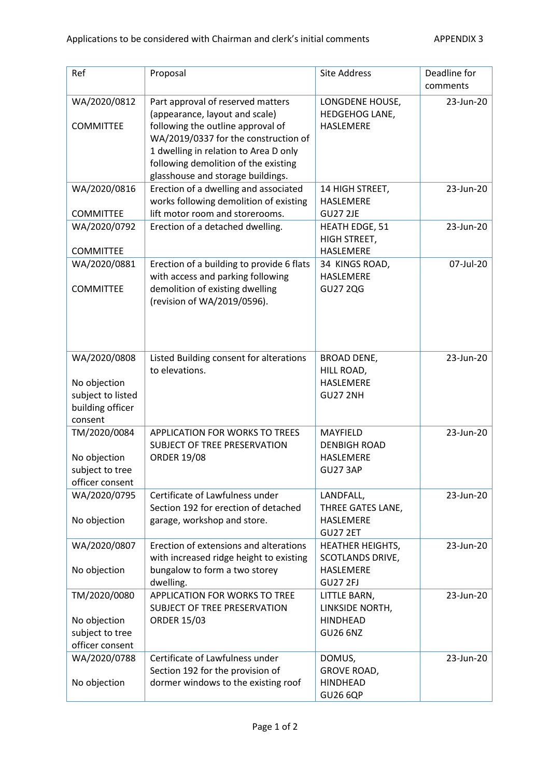| Ref                                                                              | Proposal                                                                                                                                                                                                                                                               | <b>Site Address</b>                                                                | Deadline for<br>comments |
|----------------------------------------------------------------------------------|------------------------------------------------------------------------------------------------------------------------------------------------------------------------------------------------------------------------------------------------------------------------|------------------------------------------------------------------------------------|--------------------------|
| WA/2020/0812<br><b>COMMITTEE</b>                                                 | Part approval of reserved matters<br>(appearance, layout and scale)<br>following the outline approval of<br>WA/2019/0337 for the construction of<br>1 dwelling in relation to Area D only<br>following demolition of the existing<br>glasshouse and storage buildings. | LONGDENE HOUSE,<br>HEDGEHOG LANE,<br>HASLEMERE                                     | 23-Jun-20                |
| WA/2020/0816<br><b>COMMITTEE</b>                                                 | Erection of a dwelling and associated<br>works following demolition of existing<br>lift motor room and storerooms.                                                                                                                                                     | 14 HIGH STREET,<br><b>HASLEMERE</b><br><b>GU27 2JE</b>                             | 23-Jun-20                |
| WA/2020/0792<br><b>COMMITTEE</b>                                                 | Erection of a detached dwelling.                                                                                                                                                                                                                                       | <b>HEATH EDGE, 51</b><br>HIGH STREET,<br><b>HASLEMERE</b>                          | 23-Jun-20                |
| WA/2020/0881<br><b>COMMITTEE</b>                                                 | Erection of a building to provide 6 flats<br>with access and parking following<br>demolition of existing dwelling<br>(revision of WA/2019/0596).                                                                                                                       | 34 KINGS ROAD,<br><b>HASLEMERE</b><br><b>GU27 2QG</b>                              | 07-Jul-20                |
| WA/2020/0808<br>No objection<br>subject to listed<br>building officer<br>consent | Listed Building consent for alterations<br>to elevations.                                                                                                                                                                                                              | <b>BROAD DENE,</b><br>HILL ROAD,<br>HASLEMERE<br><b>GU27 2NH</b>                   | 23-Jun-20                |
| TM/2020/0084<br>No objection<br>subject to tree<br>officer consent               | <b>APPLICATION FOR WORKS TO TREES</b><br>SUBJECT OF TREE PRESERVATION<br><b>ORDER 19/08</b>                                                                                                                                                                            | MAYFIELD<br><b>DENBIGH ROAD</b><br><b>HASLEMERE</b><br><b>GU27 3AP</b>             | 23-Jun-20                |
| WA/2020/0795<br>No objection                                                     | Certificate of Lawfulness under<br>Section 192 for erection of detached<br>garage, workshop and store.                                                                                                                                                                 | LANDFALL,<br>THREE GATES LANE,<br>HASLEMERE<br><b>GU27 2ET</b>                     | 23-Jun-20                |
| WA/2020/0807<br>No objection                                                     | Erection of extensions and alterations<br>with increased ridge height to existing<br>bungalow to form a two storey<br>dwelling.                                                                                                                                        | <b>HEATHER HEIGHTS,</b><br>SCOTLANDS DRIVE,<br><b>HASLEMERE</b><br><b>GU27 2FJ</b> | 23-Jun-20                |
| TM/2020/0080<br>No objection<br>subject to tree<br>officer consent               | <b>APPLICATION FOR WORKS TO TREE</b><br>SUBJECT OF TREE PRESERVATION<br><b>ORDER 15/03</b>                                                                                                                                                                             | LITTLE BARN,<br>LINKSIDE NORTH,<br><b>HINDHEAD</b><br><b>GU26 6NZ</b>              | 23-Jun-20                |
| WA/2020/0788<br>No objection                                                     | Certificate of Lawfulness under<br>Section 192 for the provision of<br>dormer windows to the existing roof                                                                                                                                                             | DOMUS,<br><b>GROVE ROAD,</b><br><b>HINDHEAD</b><br><b>GU26 6QP</b>                 | 23-Jun-20                |